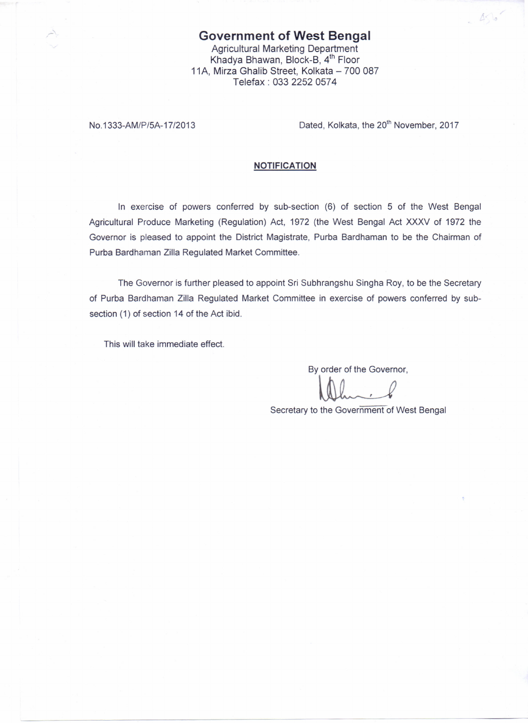## **Government of West Bengal** Agricultural Marketing Department Khadya Bhawan, Block-B, 4<sup>th</sup> Floor 11A, Mirza Ghalib Street, Kolkata - 700 087 Telefax: 0332252 0574

No.1333-AM/P/5A-17/2013 Dated, Kolkata, the 20<sup>th</sup> November, 2017

 $-456$ 

## **NOTIFICATION**

In exercise of powers conferred by sub-section (6) of section S of the West Bengal Agricultural Produce Marketing (Regulation) Act, 1972 (the West Bengal Act XXXV of 1972 the Governor is pleased to appoint the District Magistrate, Purba Bardhaman to be the Chairman of Purba Bardhaman Zilla Regulated Market Committee.

The Governor is further pleased to appoint Sri Subhrangshu Singha Roy, to be the Secretary of Purba Bardhaman Zilla Regulated Market Committee in exercise of powers conferred by subsection (1) of section 14 of the Act ibid.

This will take immediate effect.

By order of the Governor,

Secretary to the Government of West Bengal